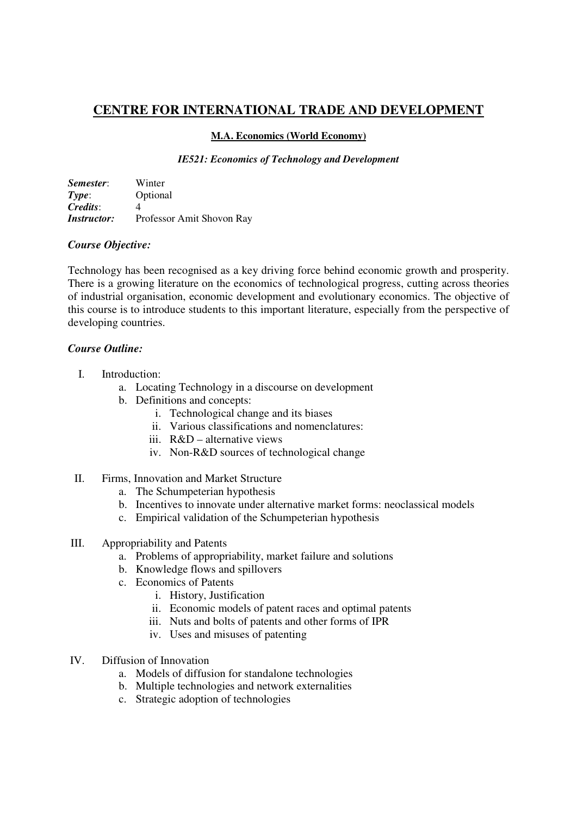# **CENTRE FOR INTERNATIONAL TRADE AND DEVELOPMENT**

#### **M.A. Economics (World Economy)**

#### *IE521: Economics of Technology and Development*

| Semester:          | Winter                    |
|--------------------|---------------------------|
| Type:              | Optional                  |
| Credits:           |                           |
| <i>Instructor:</i> | Professor Amit Shovon Ray |

# *Course Objective:*

Technology has been recognised as a key driving force behind economic growth and prosperity. There is a growing literature on the economics of technological progress, cutting across theories of industrial organisation, economic development and evolutionary economics. The objective of this course is to introduce students to this important literature, especially from the perspective of developing countries.

#### *Course Outline:*

- I. Introduction:
	- a. Locating Technology in a discourse on development
	- b. Definitions and concepts:
		- i. Technological change and its biases
		- ii. Various classifications and nomenclatures:
		- iii. R&D alternative views
		- iv. Non-R&D sources of technological change
- II. Firms, Innovation and Market Structure
	- a. The Schumpeterian hypothesis
	- b. Incentives to innovate under alternative market forms: neoclassical models
	- c. Empirical validation of the Schumpeterian hypothesis

# III. Appropriability and Patents

- a. Problems of appropriability, market failure and solutions
- b. Knowledge flows and spillovers
- c. Economics of Patents
	- i. History, Justification
	- ii. Economic models of patent races and optimal patents
	- iii. Nuts and bolts of patents and other forms of IPR
	- iv. Uses and misuses of patenting
- IV. Diffusion of Innovation
	- a. Models of diffusion for standalone technologies
	- b. Multiple technologies and network externalities
	- c. Strategic adoption of technologies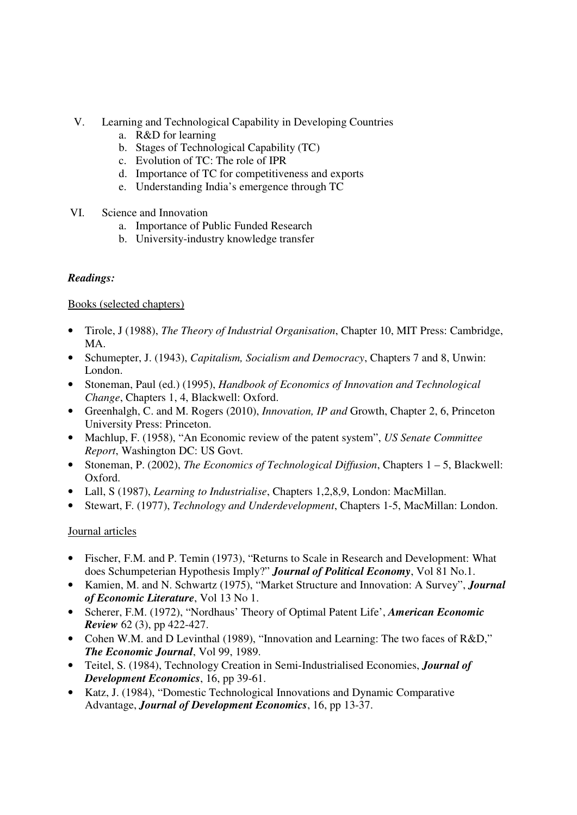- V. Learning and Technological Capability in Developing Countries
	- a. R&D for learning
	- b. Stages of Technological Capability (TC)
	- c. Evolution of TC: The role of IPR
	- d. Importance of TC for competitiveness and exports
	- e. Understanding India's emergence through TC
- VI. Science and Innovation
	- a. Importance of Public Funded Research
	- b. University-industry knowledge transfer

# *Readings:*

Books (selected chapters)

- Tirole, J (1988), *The Theory of Industrial Organisation*, Chapter 10, MIT Press: Cambridge, MA.
- Schumepter, J. (1943), *Capitalism, Socialism and Democracy*, Chapters 7 and 8, Unwin: London.
- Stoneman, Paul (ed.) (1995), *Handbook of Economics of Innovation and Technological Change*, Chapters 1, 4, Blackwell: Oxford.
- Greenhalgh, C. and M. Rogers (2010), *Innovation, IP and* Growth, Chapter 2, 6, Princeton University Press: Princeton.
- Machlup, F. (1958), "An Economic review of the patent system", *US Senate Committee Report*, Washington DC: US Govt.
- Stoneman, P. (2002), *The Economics of Technological Diffusion*, Chapters 1 5, Blackwell: Oxford.
- Lall, S (1987), *Learning to Industrialise*, Chapters 1,2,8,9, London: MacMillan.
- Stewart, F. (1977), *Technology and Underdevelopment*, Chapters 1-5, MacMillan: London.

# Journal articles

- Fischer, F.M. and P. Temin (1973), "Returns to Scale in Research and Development: What does Schumpeterian Hypothesis Imply?" *Journal of Political Economy*, Vol 81 No.1.
- Kamien, M. and N. Schwartz (1975), "Market Structure and Innovation: A Survey", *Journal of Economic Literature*, Vol 13 No 1.
- Scherer, F.M. (1972), "Nordhaus' Theory of Optimal Patent Life', *American Economic Review* 62 (3), pp 422-427.
- Cohen W.M. and D Levinthal (1989), "Innovation and Learning: The two faces of R&D," *The Economic Journal*, Vol 99, 1989.
- Teitel, S. (1984), Technology Creation in Semi-Industrialised Economies, *Journal of Development Economics*, 16, pp 39-61.
- Katz, J. (1984), "Domestic Technological Innovations and Dynamic Comparative Advantage, *Journal of Development Economics*, 16, pp 13-37.